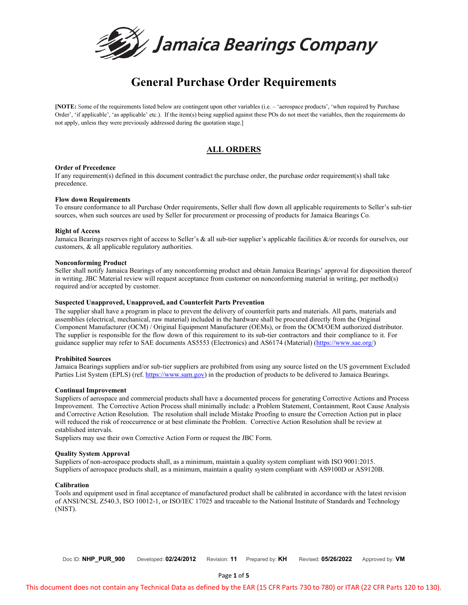

# **General Purchase Order Requirements**

**[NOTE:** Some of the requirements listed below are contingent upon other variables (i.e. – 'aerospace products', 'when required by Purchase Order', 'if applicable', 'as applicable' etc.). If the item(s) being supplied against these POs do not meet the variables, then the requirements do not apply, unless they were previously addressed during the quotation stage.]

# **ALL ORDERS**

# **Order of Precedence**

If any requirement(s) defined in this document contradict the purchase order, the purchase order requirement(s) shall take precedence.

# **Flow down Requirements**

To ensure conformance to all Purchase Order requirements, Seller shall flow down all applicable requirements to Seller's sub-tier sources, when such sources are used by Seller for procurement or processing of products for Jamaica Bearings Co.

# **Right of Access**

Jamaica Bearings reserves right of access to Seller's & all sub-tier supplier's applicable facilities &/or records for ourselves, our customers, & all applicable regulatory authorities.

# **Nonconforming Product**

Seller shall notify Jamaica Bearings of any nonconforming product and obtain Jamaica Bearings' approval for disposition thereof in writing. JBC Material review will request acceptance from customer on nonconforming material in writing, per method(s) required and/or accepted by customer.

# **Suspected Unapproved, Unapproved, and Counterfeit Parts Prevention**

The supplier shall have a program in place to prevent the delivery of counterfeit parts and materials. All parts, materials and assemblies (electrical, mechanical, raw material) included in the hardware shall be procured directly from the Original Component Manufacturer (OCM) / Original Equipment Manufacturer (OEMs), or from the OCM/OEM authorized distributor. The supplier is responsible for the flow down of this requirement to its sub-tier contractors and their compliance to it. For guidance supplier may refer to SAE documents AS5553 (Electronics) and AS6174 (Material) [\(https://www.sae.org/\)](https://www.sae.org/)

# **Prohibited Sources**

Jamaica Bearings suppliers and/or sub-tier suppliers are prohibited from using any source listed on the US government Excluded Parties List System (EPLS) (ref[. https://www.sam.gov\)](https://www.sam.gov/) in the production of products to be delivered to Jamaica Bearings.

# **Continual Improvement**

Suppliers of aerospace and commercial products shall have a documented process for generating Corrective Actions and Process Improvement. The Corrective Action Process shall minimally include: a Problem Statement, Containment, Root Cause Analysis and Corrective Action Resolution. The resolution shall include Mistake Proofing to ensure the Correction Action put in place will reduced the risk of reoccurrence or at best eliminate the Problem. Corrective Action Resolution shall be review at established intervals.

Suppliers may use their own Corrective Action Form or request the JBC Form.

# **Quality System Approval**

Suppliers of non-aerospace products shall, as a minimum, maintain a quality system compliant with ISO 9001:2015. Suppliers of aerospace products shall, as a minimum, maintain a quality system compliant with AS9100D or AS9120B.

# **Calibration**

Tools and equipment used in final acceptance of manufactured product shall be calibrated in accordance with the latest revision of ANSI/NCSL Z540.3, ISO 10012-1, or ISO/IEC 17025 and traceable to the National Institute of Standards and Technology (NIST).

Doc ID: **NHP\_PUR\_900** Developed: **02/24/2012** Revision: **11** Prepared by: **KH** Revised: **05/26/2022** Approved by: **VM**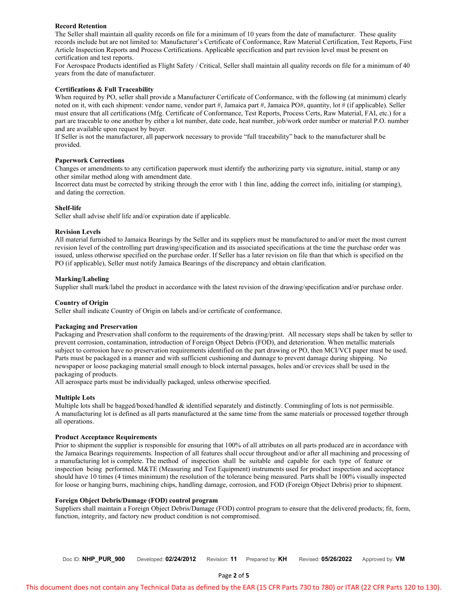# **Record Retention**

The Seller shall maintain all quality records on file for a minimum of 10 years from the date of manufacturer. These quality records include but are not limited to: Manufacturer's Certificate of Conformance, Raw Material Certification, Test Reports, First Article Inspection Reports and Process Certifications. Applicable specification and part revision level must be present on certification and test reports.

For Aerospace Products identified as Flight Safety / Critical, Seller shall maintain all quality records on file for a minimum of 40 years from the date of manufacturer.

# **Certifications & Full Traceability**

When required by PO, seller shall provide a Manufacturer Certificate of Conformance, with the following (at minimum) clearly noted on it, with each shipment: vendor name, vendor part #, Jamaica part #, Jamaica PO#, quantity, lot # (if applicable). Seller must ensure that all certifications (Mfg. Certificate of Conformance, Test Reports, Process Certs, Raw Material, FAI, etc.) for a part are traceable to one another by either a lot number, date code, heat number, job/work order number or material P.O. number and are available upon request by buyer.

If Seller is not the manufacturer, all paperwork necessary to provide "full traceability" back to the manufacturer shall be provided.

#### **Paperwork Corrections**

Changes or amendments to any certification paperwork must identify the authorizing party via signature, initial, stamp or any other similar method along with amendment date.

Incorrect data must be corrected by striking through the error with 1 thin line, adding the correct info, initialing (or stamping), and dating the correction.

#### **Shelf-life**

Seller shall advise shelf life and/or expiration date if applicable.

#### **Revision Levels**

All material furnished to Jamaica Bearings by the Seller and its suppliers must be manufactured to and/or meet the most current revision level of the controlling part drawing/specification and its associated specifications at the time the purchase order was issued, unless otherwise specified on the purchase order. If Seller has a later revision on file than that which is specified on the PO (if applicable), Seller must notify Jamaica Bearings of the discrepancy and obtain clarification.

#### **Marking/Labeling**

Supplier shall mark/label the product in accordance with the latest revision of the drawing/specification and/or purchase order.

#### **Country of Origin**

Seller shall indicate Country of Origin on labels and/or certificate of conformance.

#### **Packaging and Preservation**

Packaging and Preservation shall conform to the requirements of the drawing/print. All necessary steps shall be taken by seller to prevent corrosion, contamination, introduction of Foreign Object Debris (FOD), and deterioration. When metallic materials subject to corrosion have no preservation requirements identified on the part drawing or PO, then MCI/VCI paper must be used. Parts must be packaged in a manner and with sufficient cushioning and dunnage to prevent damage during shipping. No newspaper or loose packaging material small enough to block internal passages, holes and/or crevices shall be used in the packaging of products.

All aerospace parts must be individually packaged, unless otherwise specified.

# **Multiple Lots**

Multiple lots shall be bagged/boxed/handled & identified separately and distinctly. Commingling of lots is not permissible. A manufacturing lot is defined as all parts manufactured at the same time from the same materials or processed together through all operations.

#### **Product Acceptance Requirements**

Prior to shipment the supplier is responsible for ensuring that 100% of all attributes on all parts produced are in accordance with the Jamaica Bearings requirements. Inspection of all features shall occur throughout and/or after all machining and processing of a manufacturing lot is complete. The method of inspection shall be suitable and capable for each type of feature or inspection being performed. M&TE (Measuring and Test Equipment) instruments used for product inspection and acceptance should have 10 times (4 times minimum) the resolution of the tolerance being measured. Parts shall be 100% visually inspected for loose or hanging burrs, machining chips, handling damage, corrosion, and FOD (Foreign Object Debris) prior to shipment.

#### **Foreign Object Debris/Damage (FOD) control program**

Suppliers shall maintain a Foreign Object Debris/Damage (FOD) control program to ensure that the delivered products; fit, form, function, integrity, and factory new product condition is not compromised.

Doc ID: **NHP\_PUR\_900** Developed: **02/24/2012** Revision: **11** Prepared by: **KH** Revised: **05/26/2022** Approved by: **VM**

This document does not contain any Technical Data as defined by the EAR (15 CFR Parts 730 to 780) or ITAR (22 CFR Parts 120 to 130).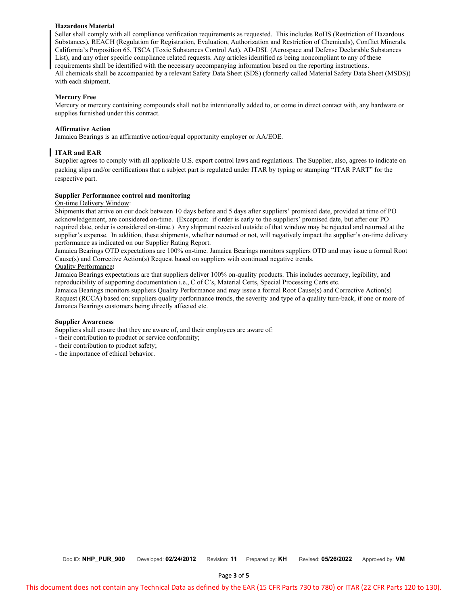# **Hazardous Material**

Seller shall comply with all compliance verification requirements as requested. This includes RoHS (Restriction of Hazardous Substances), REACH (Regulation for Registration, Evaluation, Authorization and Restriction of Chemicals), Conflict Minerals, California's Proposition 65, TSCA (Toxic Substances Control Act), AD-DSL (Aerospace and Defense Declarable Substances List), and any other specific compliance related requests. Any articles identified as being noncompliant to any of these requirements shall be identified with the necessary accompanying information based on the reporting instructions. All chemicals shall be accompanied by a relevant Safety Data Sheet (SDS) (formerly called Material Safety Data Sheet (MSDS)) with each shipment.

#### **Mercury Free**

Mercury or mercury containing compounds shall not be intentionally added to, or come in direct contact with, any hardware or supplies furnished under this contract.

#### **Affirmative Action**

Jamaica Bearings is an affirmative action/equal opportunity employer or AA/EOE.

# **ITAR and EAR**

Supplier agrees to comply with all applicable U.S. export control laws and regulations. The Supplier, also, agrees to indicate on packing slips and/or certifications that a subject part is regulated under ITAR by typing or stamping "ITAR PART" for the respective part.

#### **Supplier Performance control and monitoring**

On-time Delivery Window:

Shipments that arrive on our dock between 10 days before and 5 days after suppliers' promised date, provided at time of PO acknowledgement, are considered on-time. (Exception: if order is early to the suppliers' promised date, but after our PO required date, order is considered on-time.) Any shipment received outside of that window may be rejected and returned at the supplier's expense. In addition, these shipments, whether returned or not, will negatively impact the supplier's on-time delivery performance as indicated on our Supplier Rating Report.

Jamaica Bearings OTD expectations are 100% on-time. Jamaica Bearings monitors suppliers OTD and may issue a formal Root Cause(s) and Corrective Action(s) Request based on suppliers with continued negative trends. Quality Performance**:**

Jamaica Bearings expectations are that suppliers deliver 100% on-quality products. This includes accuracy, legibility, and reproducibility of supporting documentation i.e., C of C's, Material Certs, Special Processing Certs etc.

Jamaica Bearings monitors suppliers Quality Performance and may issue a formal Root Cause(s) and Corrective Action(s) Request (RCCA) based on; suppliers quality performance trends, the severity and type of a quality turn-back, if one or more of Jamaica Bearings customers being directly affected etc.

#### **Supplier Awareness**

Suppliers shall ensure that they are aware of, and their employees are aware of:

- their contribution to product or service conformity;
- their contribution to product safety;
- the importance of ethical behavior.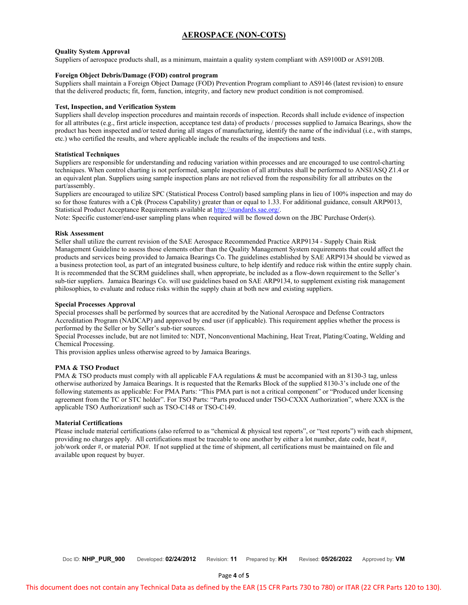# **AEROSPACE (NON-COTS)**

# **Quality System Approval**

Suppliers of aerospace products shall, as a minimum, maintain a quality system compliant with AS9100D or AS9120B.

# **Foreign Object Debris/Damage (FOD) control program**

Suppliers shall maintain a Foreign Object Damage (FOD) Prevention Program compliant to AS9146 (latest revision) to ensure that the delivered products; fit, form, function, integrity, and factory new product condition is not compromised.

# **Test, Inspection, and Verification System**

Suppliers shall develop inspection procedures and maintain records of inspection. Records shall include evidence of inspection for all attributes (e.g., first article inspection, acceptance test data) of products / processes supplied to Jamaica Bearings, show the product has been inspected and/or tested during all stages of manufacturing, identify the name of the individual (i.e., with stamps, etc.) who certified the results, and where applicable include the results of the inspections and tests.

# **Statistical Techniques**

Suppliers are responsible for understanding and reducing variation within processes and are encouraged to use control-charting techniques. When control charting is not performed, sample inspection of all attributes shall be performed to ANSI/ASQ Z1.4 or an equivalent plan. Suppliers using sample inspection plans are not relieved from the responsibility for all attributes on the part/assembly.

Suppliers are encouraged to utilize SPC (Statistical Process Control) based sampling plans in lieu of 100% inspection and may do so for those features with a Cpk (Process Capability) greater than or equal to 1.33. For additional guidance, consult ARP9013, Statistical Product Acceptance Requirements available at [http://standards.sae.org/.](http://standards.sae.org/)

Note: Specific customer/end-user sampling plans when required will be flowed down on the JBC Purchase Order(s).

# **Risk Assessment**

Seller shall utilize the current revision of the SAE Aerospace Recommended Practice ARP9134 - Supply Chain Risk Management Guideline to assess those elements other than the Quality Management System requirements that could affect the products and services being provided to Jamaica Bearings Co. The guidelines established by SAE ARP9134 should be viewed as a business protection tool, as part of an integrated business culture, to help identify and reduce risk within the entire supply chain. It is recommended that the SCRM guidelines shall, when appropriate, be included as a flow-down requirement to the Seller's sub-tier suppliers. Jamaica Bearings Co. will use guidelines based on SAE ARP9134, to supplement existing risk management philosophies, to evaluate and reduce risks within the supply chain at both new and existing suppliers.

# **Special Processes Approval**

Special processes shall be performed by sources that are accredited by the National Aerospace and Defense Contractors Accreditation Program (NADCAP) and approved by end user (if applicable). This requirement applies whether the process is performed by the Seller or by Seller's sub-tier sources.

Special Processes include, but are not limited to: NDT, Nonconventional Machining, Heat Treat, Plating/Coating, Welding and Chemical Processing.

This provision applies unless otherwise agreed to by Jamaica Bearings.

# **PMA & TSO Product**

PMA & TSO products must comply with all applicable FAA regulations & must be accompanied with an 8130-3 tag, unless otherwise authorized by Jamaica Bearings. It is requested that the Remarks Block of the supplied 8130-3's include one of the following statements as applicable: For PMA Parts: "This PMA part is not a critical component" or "Produced under licensing agreement from the TC or STC holder". For TSO Parts: "Parts produced under TSO-CXXX Authorization", where XXX is the applicable TSO Authorization# such as TSO-C148 or TSO-C149.

# **Material Certifications**

Please include material certifications (also referred to as "chemical & physical test reports", or "test reports") with each shipment, providing no charges apply. All certifications must be traceable to one another by either a lot number, date code, heat #, job/work order #, or material PO#. If not supplied at the time of shipment, all certifications must be maintained on file and available upon request by buyer.

Doc ID: **NHP\_PUR\_900** Developed: **02/24/2012** Revision: **11** Prepared by: **KH** Revised: **05/26/2022** Approved by: **VM**

Page **4** of **5**